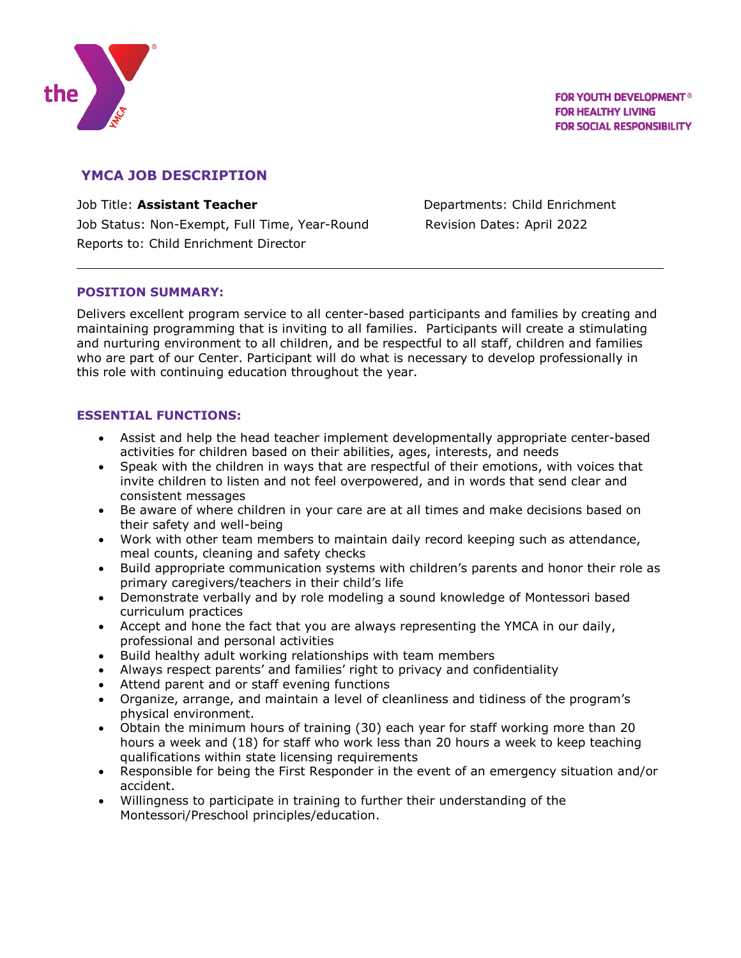

# **YMCA JOB DESCRIPTION**

Job Title: **Assistant Teacher Departments: Child Enrichment** Job Status: Non-Exempt, Full Time, Year-Round Revision Dates: April 2022 Reports to: Child Enrichment Director

## **POSITION SUMMARY:**

Delivers excellent program service to all center-based participants and families by creating and maintaining programming that is inviting to all families. Participants will create a stimulating and nurturing environment to all children, and be respectful to all staff, children and families who are part of our Center. Participant will do what is necessary to develop professionally in this role with continuing education throughout the year.

### **ESSENTIAL FUNCTIONS:**

- Assist and help the head teacher implement developmentally appropriate center-based activities for children based on their abilities, ages, interests, and needs
- Speak with the children in ways that are respectful of their emotions, with voices that invite children to listen and not feel overpowered, and in words that send clear and consistent messages
- Be aware of where children in your care are at all times and make decisions based on their safety and well-being
- Work with other team members to maintain daily record keeping such as attendance, meal counts, cleaning and safety checks
- Build appropriate communication systems with children's parents and honor their role as primary caregivers/teachers in their child's life
- Demonstrate verbally and by role modeling a sound knowledge of Montessori based curriculum practices
- Accept and hone the fact that you are always representing the YMCA in our daily, professional and personal activities
- Build healthy adult working relationships with team members
- Always respect parents' and families' right to privacy and confidentiality
- Attend parent and or staff evening functions
- Organize, arrange, and maintain a level of cleanliness and tidiness of the program's physical environment.
- Obtain the minimum hours of training (30) each year for staff working more than 20 hours a week and (18) for staff who work less than 20 hours a week to keep teaching qualifications within state licensing requirements
- Responsible for being the First Responder in the event of an emergency situation and/or accident.
- Willingness to participate in training to further their understanding of the Montessori/Preschool principles/education.